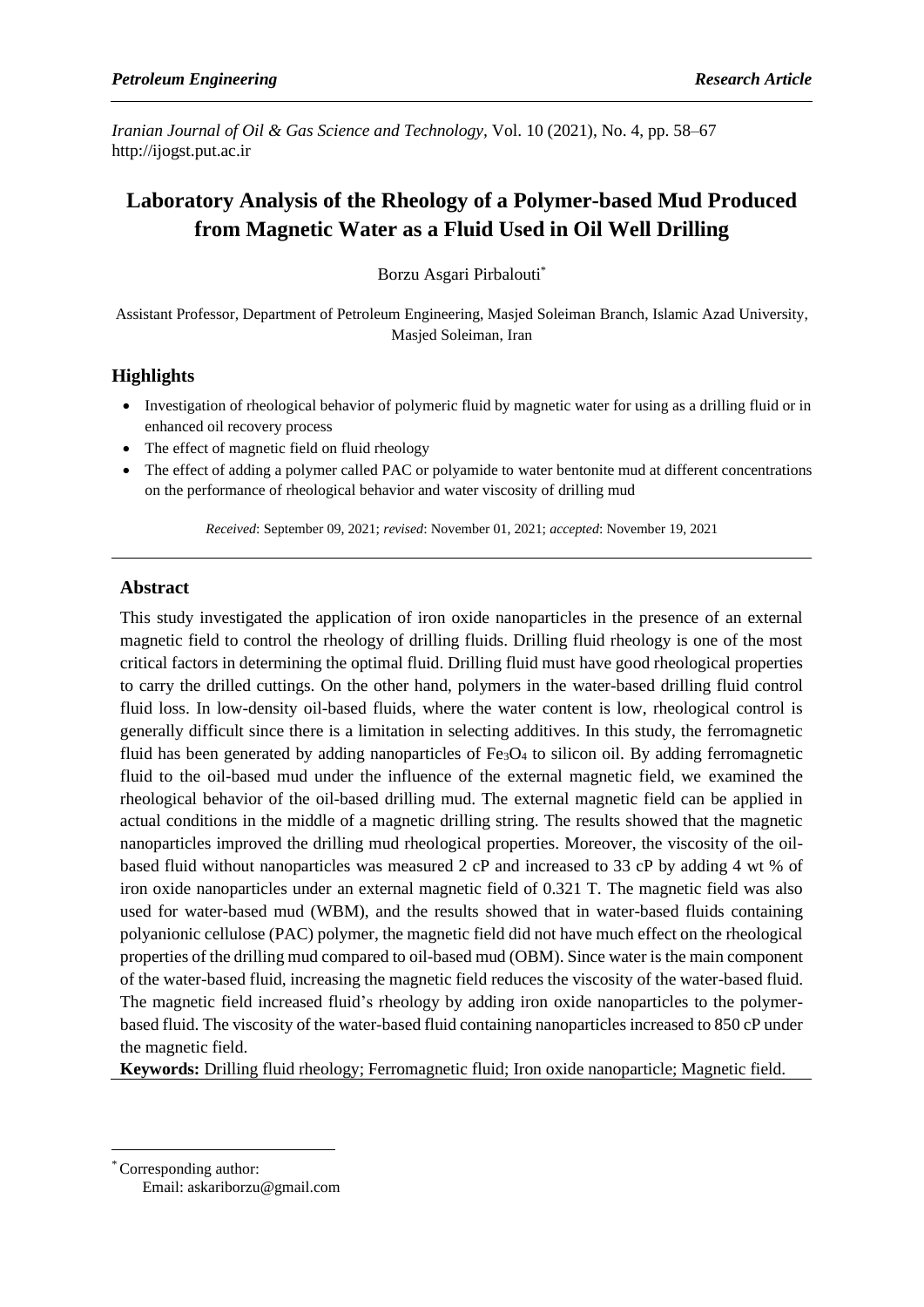*Iranian Journal of Oil & Gas Science and Technology,* Vol. 10 (2021), No. 4, pp. 58–67 http://ijogst.put.ac.ir

# **Laboratory Analysis of the Rheology of a Polymer-based Mud Produced from Magnetic Water as a Fluid Used in Oil Well Drilling**

Borzu Asgari Pirbalouti\*

Assistant Professor, Department of Petroleum Engineering, Masjed Soleiman Branch, Islamic Azad University, Masjed Soleiman, Iran

# **Highlights**

- Investigation of rheological behavior of polymeric fluid by magnetic water for using as a drilling fluid or in enhanced oil recovery process
- The effect of magnetic field on fluid rheology
- The effect of adding a polymer called PAC or polyamide to water bentonite mud at different concentrations on the performance of rheological behavior and water viscosity of drilling mud

*Received*: September 09, 2021; *revised*: November 01, 2021; *accepted*: November 19, 2021

# **Abstract**

This study investigated the application of iron oxide nanoparticles in the presence of an external magnetic field to control the rheology of drilling fluids. Drilling fluid rheology is one of the most critical factors in determining the optimal fluid. Drilling fluid must have good rheological properties to carry the drilled cuttings. On the other hand, polymers in the water-based drilling fluid control fluid loss. In low-density oil-based fluids, where the water content is low, rheological control is generally difficult since there is a limitation in selecting additives. In this study, the ferromagnetic fluid has been generated by adding nanoparticles of  $Fe<sub>3</sub>O<sub>4</sub>$  to silicon oil. By adding ferromagnetic fluid to the oil-based mud under the influence of the external magnetic field, we examined the rheological behavior of the oil-based drilling mud. The external magnetic field can be applied in actual conditions in the middle of a magnetic drilling string. The results showed that the magnetic nanoparticles improved the drilling mud rheological properties. Moreover, the viscosity of the oilbased fluid without nanoparticles was measured 2 cP and increased to 33 cP by adding 4 wt % of iron oxide nanoparticles under an external magnetic field of 0.321 T. The magnetic field was also used for water-based mud (WBM), and the results showed that in water-based fluids containing polyanionic cellulose (PAC) polymer, the magnetic field did not have much effect on the rheological properties of the drilling mud compared to oil-based mud (OBM). Since water is the main component of the water-based fluid, increasing the magnetic field reduces the viscosity of the water-based fluid. The magnetic field increased fluid's rheology by adding iron oxide nanoparticles to the polymerbased fluid. The viscosity of the water-based fluid containing nanoparticles increased to 850 cP under the magnetic field.

**Keywords:** Drilling fluid rheology; Ferromagnetic fluid; Iron oxide nanoparticle; Magnetic field.

<sup>\*</sup>Corresponding author: Email: askariborzu@gmail.com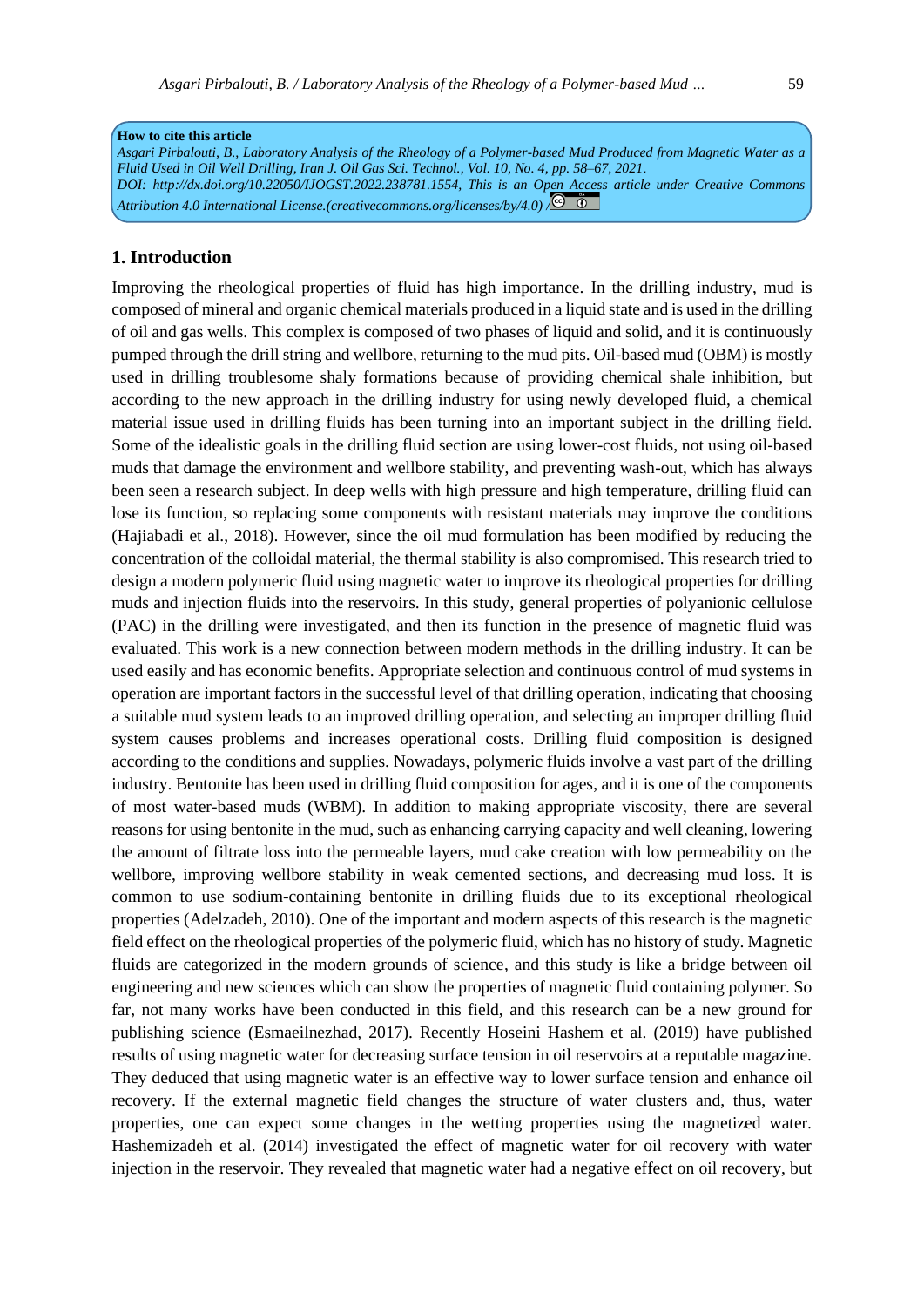## **1. Introduction**

Improving the rheological properties of fluid has high importance. In the drilling industry, mud is composed of mineral and organic chemical materials produced in a liquid state and is used in the drilling of oil and gas wells. This complex is composed of two phases of liquid and solid, and it is continuously pumped through the drill string and wellbore, returning to the mud pits. Oil-based mud (OBM) is mostly used in drilling troublesome shaly formations because of providing chemical shale inhibition, but according to the new approach in the drilling industry for using newly developed fluid, a chemical material issue used in drilling fluids has been turning into an important subject in the drilling field. Some of the idealistic goals in the drilling fluid section are using lower-cost fluids, not using oil-based muds that damage the environment and wellbore stability, and preventing wash-out, which has always been seen a research subject. In deep wells with high pressure and high temperature, drilling fluid can lose its function, so replacing some components with resistant materials may improve the conditions [\(Hajiabadi](https://www.sciencedirect.com/science/article/abs/pii/S0920410519306758#!) et al., 2018). However, since the oil mud formulation has been modified by reducing the concentration of the colloidal material, the thermal stability is also compromised. This research tried to design a modern polymeric fluid using magnetic water to improve its rheological properties for drilling muds and injection fluids into the reservoirs. In this study, general properties of polyanionic cellulose (PAC) in the drilling were investigated, and then its function in the presence of magnetic fluid was evaluated. This work is a new connection between modern methods in the drilling industry. It can be used easily and has economic benefits. Appropriate selection and continuous control of mud systems in operation are important factors in the successful level of that drilling operation, indicating that choosing a suitable mud system leads to an improved drilling operation, and selecting an improper drilling fluid system causes problems and increases operational costs. Drilling fluid composition is designed according to the conditions and supplies. Nowadays, polymeric fluids involve a vast part of the drilling industry. Bentonite has been used in drilling fluid composition for ages, and it is one of the components of most water-based muds (WBM). In addition to making appropriate viscosity, there are several reasons for using bentonite in the mud, such as enhancing carrying capacity and well cleaning, lowering the amount of filtrate loss into the permeable layers, mud cake creation with low permeability on the wellbore, improving wellbore stability in weak cemented sections, and decreasing mud loss. It is common to use sodium-containing bentonite in drilling fluids due to its exceptional rheological properties (Adelzadeh, 2010). One of the important and modern aspects of this research is the magnetic field effect on the rheological properties of the polymeric fluid, which has no history of study. Magnetic fluids are categorized in the modern grounds of science, and this study is like a bridge between oil engineering and new sciences which can show the properties of magnetic fluid containing polymer. So far, not many works have been conducted in this field, and this research can be a new ground for publishing science (Esmaeilnezhad, 2017). Recently Hoseini Hashem et al. (2019) have published results of using magnetic water for decreasing surface tension in oil reservoirs at a reputable magazine. They deduced that using magnetic water is an effective way to lower surface tension and enhance oil recovery. If the external magnetic field changes the structure of water clusters and, thus, water properties, one can expect some changes in the wetting properties using the magnetized water. Hashemizadeh et al. (2014) investigated the effect of magnetic water for oil recovery with water injection in the reservoir. They revealed that magnetic water had a negative effect on oil recovery, but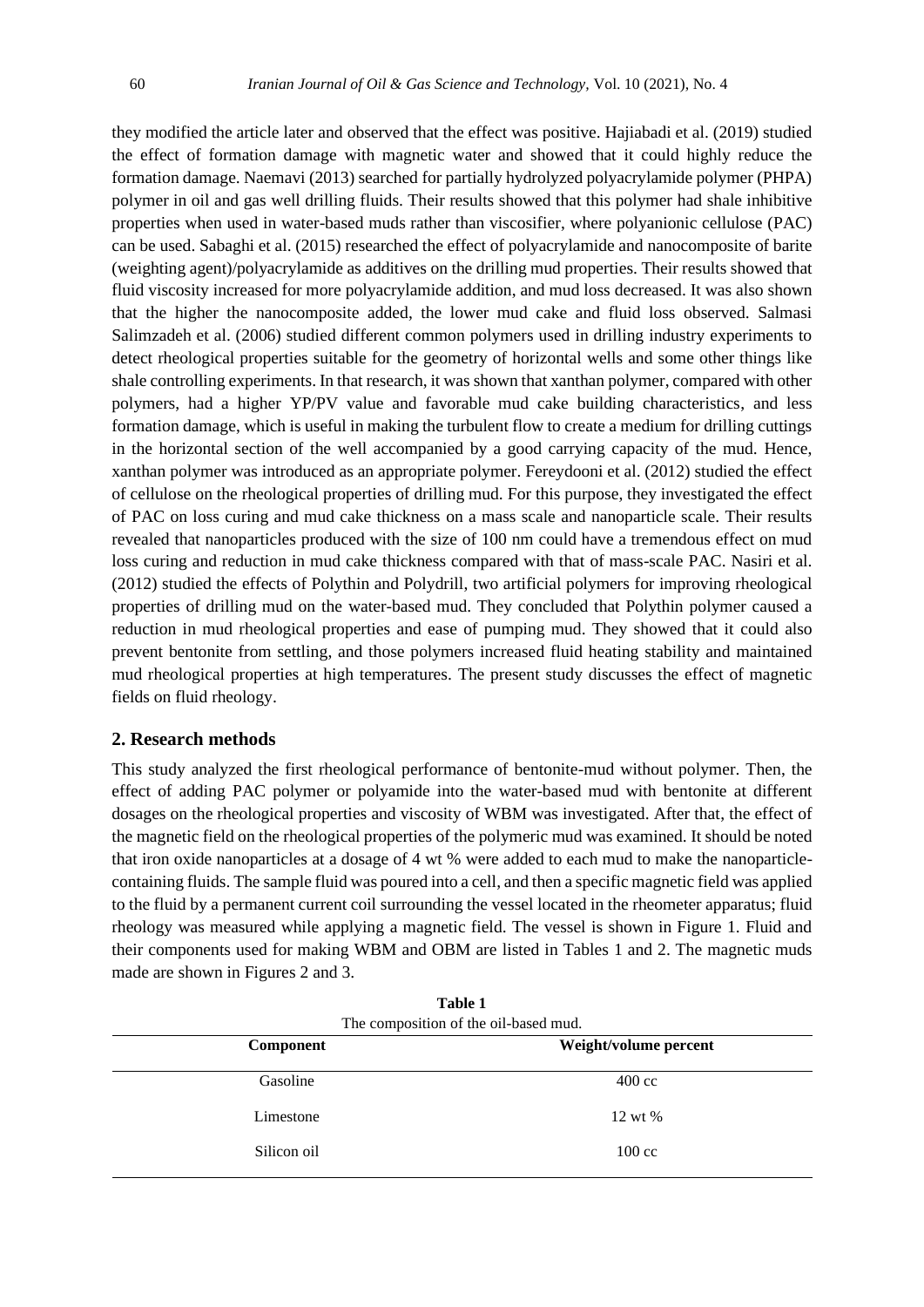they modified the article later and observed that the effect was positive. Hajiabadi et al. (2019) studied the effect of formation damage with magnetic water and showed that it could highly reduce the formation damage. Naemavi (2013) searched for partially hydrolyzed polyacrylamide polymer (PHPA) polymer in oil and gas well drilling fluids. Their results showed that this polymer had shale inhibitive properties when used in water-based muds rather than viscosifier, where polyanionic cellulose (PAC) can be used. Sabaghi et al. (2015) researched the effect of polyacrylamide and nanocomposite of barite (weighting agent)/polyacrylamide as additives on the drilling mud properties. Their results showed that fluid viscosity increased for more polyacrylamide addition, and mud loss decreased. It was also shown that the higher the nanocomposite added, the lower mud cake and fluid loss observed. Salmasi Salimzadeh et al. (2006) studied different common polymers used in drilling industry experiments to detect rheological properties suitable for the geometry of horizontal wells and some other things like shale controlling experiments. In that research, it was shown that xanthan polymer, compared with other polymers, had a higher YP/PV value and favorable mud cake building characteristics, and less formation damage, which is useful in making the turbulent flow to create a medium for drilling cuttings in the horizontal section of the well accompanied by a good carrying capacity of the mud. Hence, xanthan polymer was introduced as an appropriate polymer. Fereydooni et al. (2012) studied the effect of cellulose on the rheological properties of drilling mud. For this purpose, they investigated the effect of PAC on loss curing and mud cake thickness on a mass scale and nanoparticle scale. Their results revealed that nanoparticles produced with the size of 100 nm could have a tremendous effect on mud loss curing and reduction in mud cake thickness compared with that of mass-scale PAC. Nasiri et al. (2012) studied the effects of Polythin and Polydrill, two artificial polymers for improving rheological properties of drilling mud on the water-based mud. They concluded that Polythin polymer caused a reduction in mud rheological properties and ease of pumping mud. They showed that it could also prevent bentonite from settling, and those polymers increased fluid heating stability and maintained mud rheological properties at high temperatures. The present study discusses the effect of magnetic fields on fluid rheology.

## **2. Research methods**

This study analyzed the first rheological performance of bentonite-mud without polymer. Then, the effect of adding PAC polymer or polyamide into the water-based mud with bentonite at different dosages on the rheological properties and viscosity of WBM was investigated. After that, the effect of the magnetic field on the rheological properties of the polymeric mud was examined. It should be noted that iron oxide nanoparticles at a dosage of 4 wt % were added to each mud to make the nanoparticlecontaining fluids. The sample fluid was poured into a cell, and then a specific magnetic field was applied to the fluid by a permanent current coil surrounding the vessel located in the rheometer apparatus; fluid rheology was measured while applying a magnetic field. The vessel is shown in Figure 1. Fluid and their components used for making WBM and OBM are listed in Tables 1 and 2. The magnetic muds made are shown in Figures 2 and 3.

| <b>Component</b> | Weight/volume percent |
|------------------|-----------------------|
| Gasoline         | $400 \text{ cc}$      |
| Limestone        | 12 wt %               |
| Silicon oil      | $100 \text{ cc}$      |
|                  |                       |

**Table 1**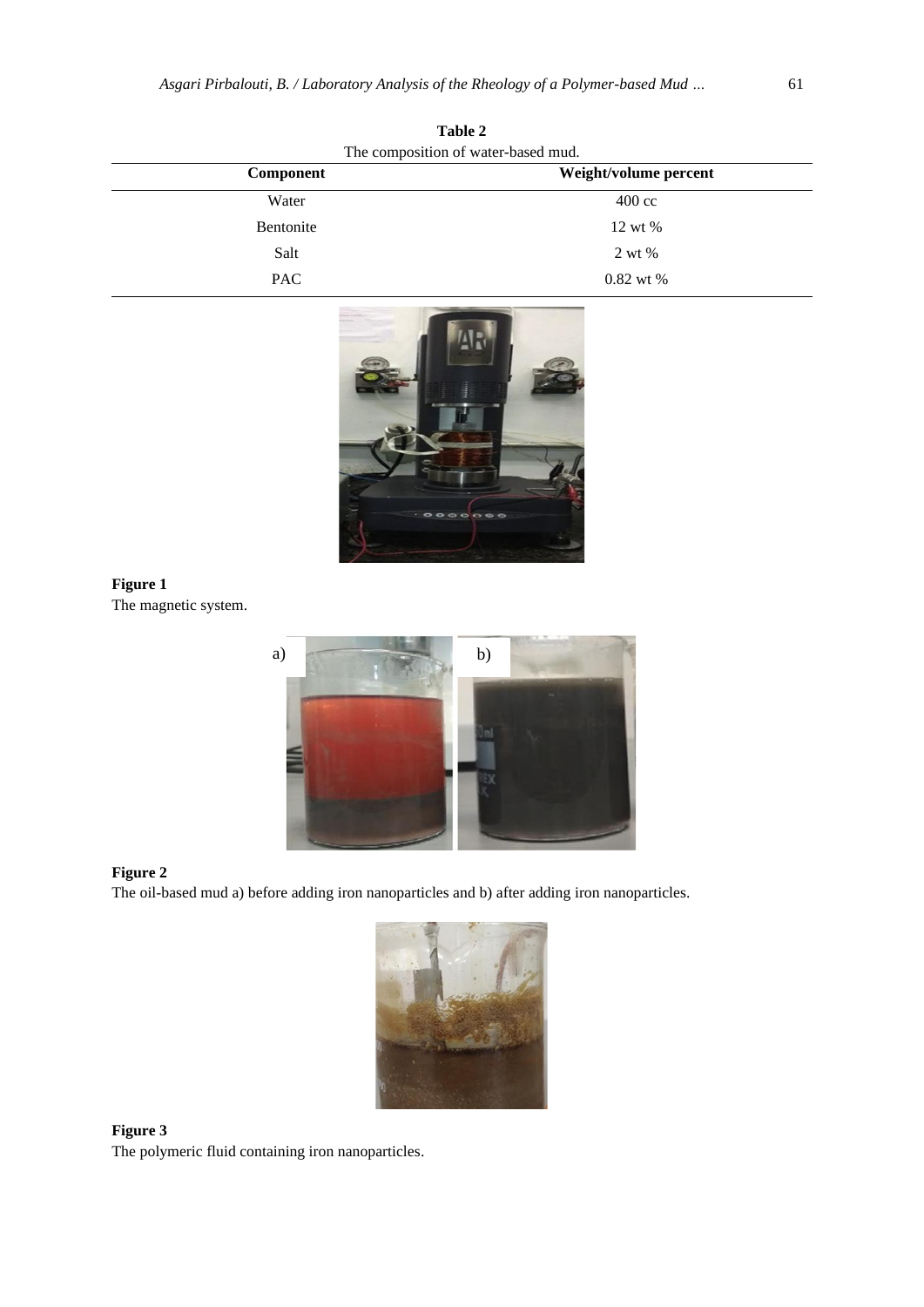| Table 2<br>The composition of water-based mud. |                  |
|------------------------------------------------|------------------|
|                                                |                  |
| Water                                          | $400 \text{ cc}$ |
| Bentonite                                      | 12 wt %          |
| Salt                                           | 2 wt %           |
| <b>PAC</b>                                     | $0.82$ wt %      |



The magnetic system.



## **Figure 2**

The oil-based mud a) before adding iron nanoparticles and b) after adding iron nanoparticles.



**Figure 3** The polymeric fluid containing iron nanoparticles.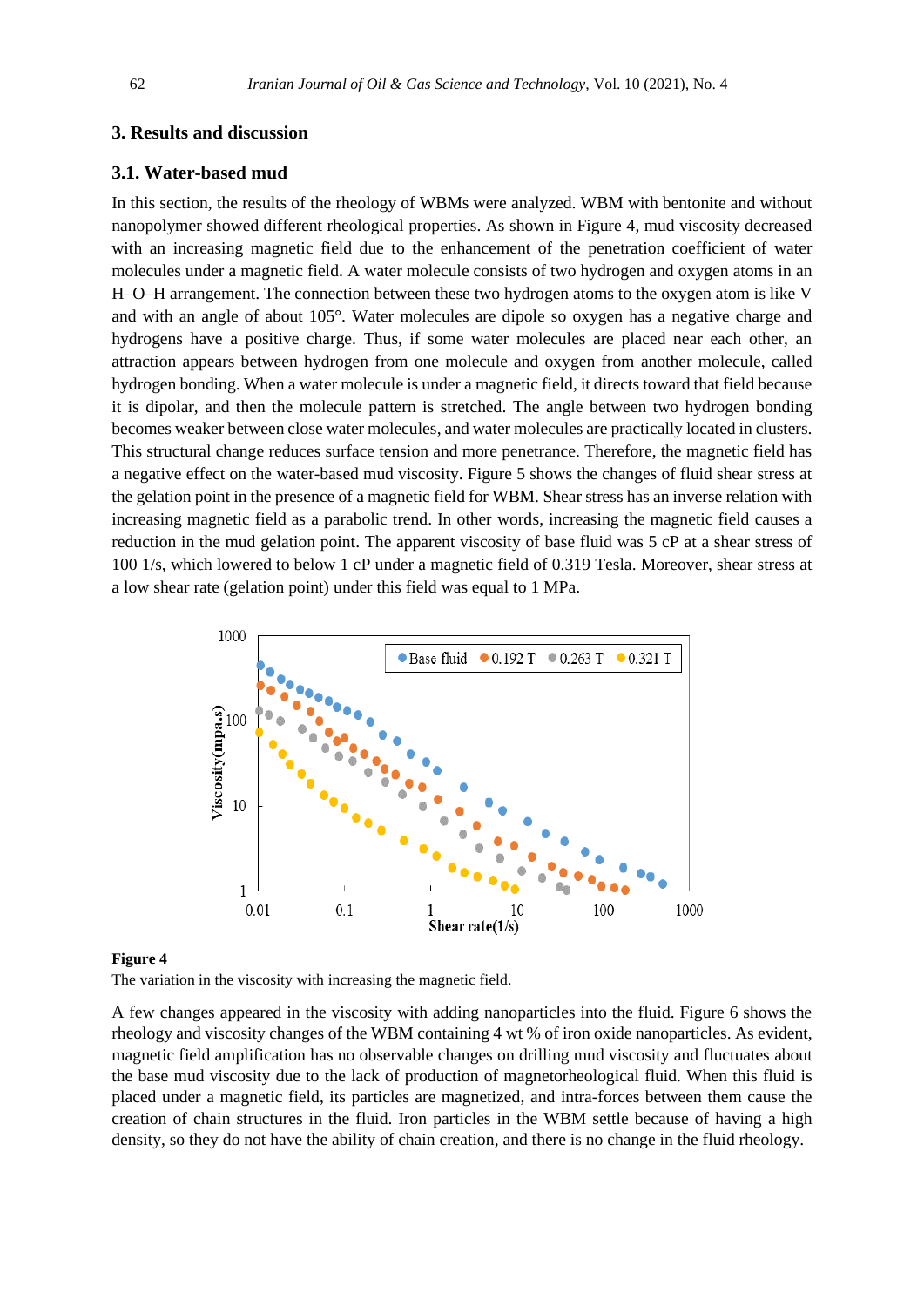## **3. Results and discussion**

#### **3.1. Water-based mud**

In this section, the results of the rheology of WBMs were analyzed. WBM with bentonite and without nanopolymer showed different rheological properties. As shown in Figure 4, mud viscosity decreased with an increasing magnetic field due to the enhancement of the penetration coefficient of water molecules under a magnetic field. A water molecule consists of two hydrogen and oxygen atoms in an H–O–H arrangement. The connection between these two hydrogen atoms to the oxygen atom is like V and with an angle of about 105°. Water molecules are dipole so oxygen has a negative charge and hydrogens have a positive charge. Thus, if some water molecules are placed near each other, an attraction appears between hydrogen from one molecule and oxygen from another molecule, called hydrogen bonding. When a water molecule is under a magnetic field, it directs toward that field because it is dipolar, and then the molecule pattern is stretched. The angle between two hydrogen bonding becomes weaker between close water molecules, and water molecules are practically located in clusters. This structural change reduces surface tension and more penetrance. Therefore, the magnetic field has a negative effect on the water-based mud viscosity. Figure 5 shows the changes of fluid shear stress at the gelation point in the presence of a magnetic field for WBM. Shear stress has an inverse relation with increasing magnetic field as a parabolic trend. In other words, increasing the magnetic field causes a reduction in the mud gelation point. The apparent viscosity of base fluid was 5 cP at a shear stress of 100 1/s, which lowered to below 1 cP under a magnetic field of 0.319 Tesla. Moreover, shear stress at a low shear rate (gelation point) under this field was equal to 1 MPa.



#### **Figure 4**

The variation in the viscosity with increasing the magnetic field.

A few changes appeared in the viscosity with adding nanoparticles into the fluid. Figure 6 shows the rheology and viscosity changes of the WBM containing 4 wt % of iron oxide nanoparticles. As evident, magnetic field amplification has no observable changes on drilling mud viscosity and fluctuates about the base mud viscosity due to the lack of production of magnetorheological fluid. When this fluid is placed under a magnetic field, its particles are magnetized, and intra-forces between them cause the creation of chain structures in the fluid. Iron particles in the WBM settle because of having a high density, so they do not have the ability of chain creation, and there is no change in the fluid rheology.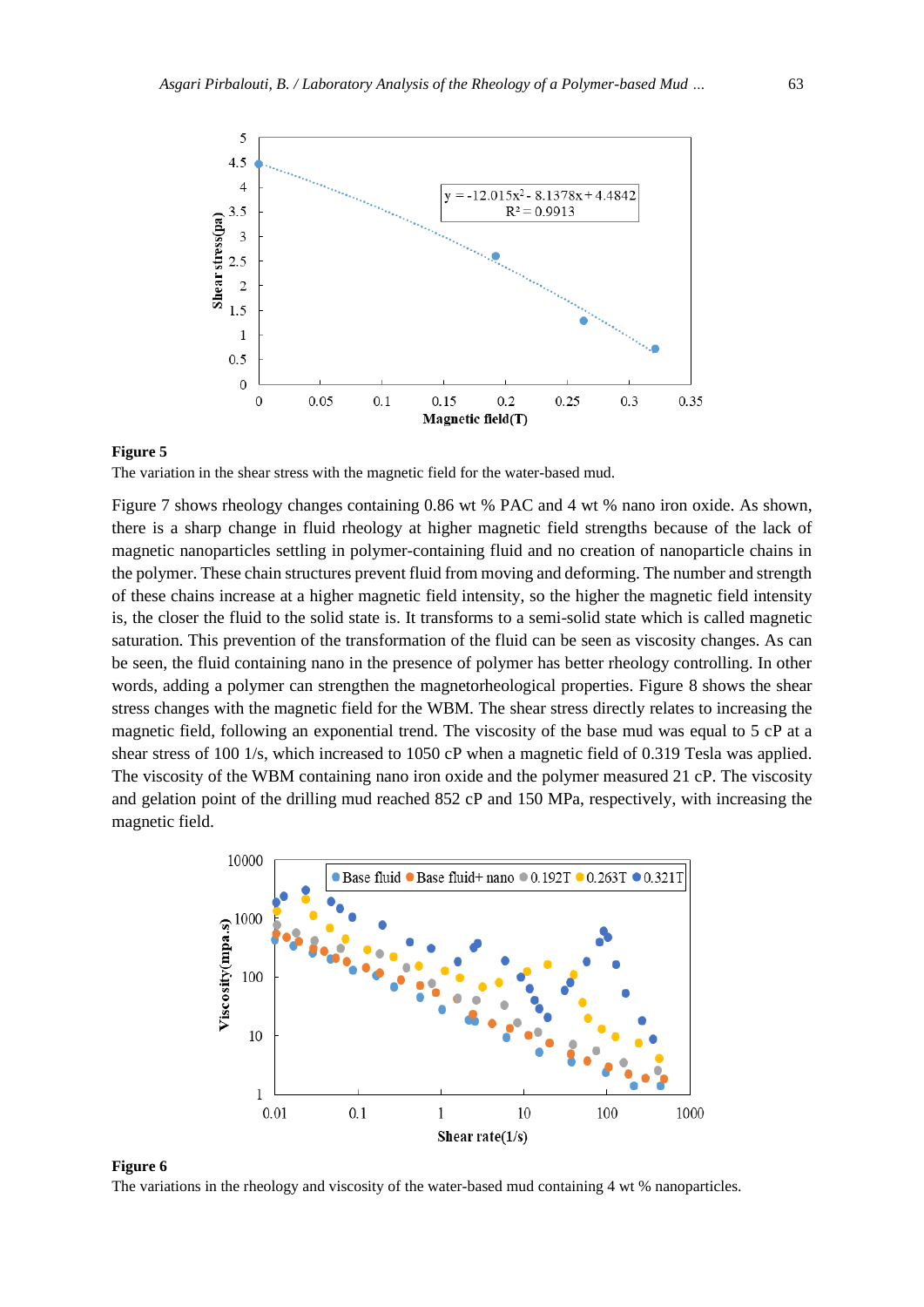

The variation in the shear stress with the magnetic field for the water-based mud.

Figure 7 shows rheology changes containing 0.86 wt % PAC and 4 wt % nano iron oxide. As shown, there is a sharp change in fluid rheology at higher magnetic field strengths because of the lack of magnetic nanoparticles settling in polymer-containing fluid and no creation of nanoparticle chains in the polymer. These chain structures prevent fluid from moving and deforming. The number and strength of these chains increase at a higher magnetic field intensity, so the higher the magnetic field intensity is, the closer the fluid to the solid state is. It transforms to a semi-solid state which is called magnetic saturation. This prevention of the transformation of the fluid can be seen as viscosity changes. As can be seen, the fluid containing nano in the presence of polymer has better rheology controlling. In other words, adding a polymer can strengthen the magnetorheological properties. Figure 8 shows the shear stress changes with the magnetic field for the WBM. The shear stress directly relates to increasing the magnetic field, following an exponential trend. The viscosity of the base mud was equal to 5 cP at a shear stress of 100 1/s, which increased to 1050 cP when a magnetic field of 0.319 Tesla was applied. The viscosity of the WBM containing nano iron oxide and the polymer measured 21 cP. The viscosity and gelation point of the drilling mud reached 852 cP and 150 MPa, respectively, with increasing the magnetic field.



#### **Figure 6**

The variations in the rheology and viscosity of the water-based mud containing 4 wt % nanoparticles.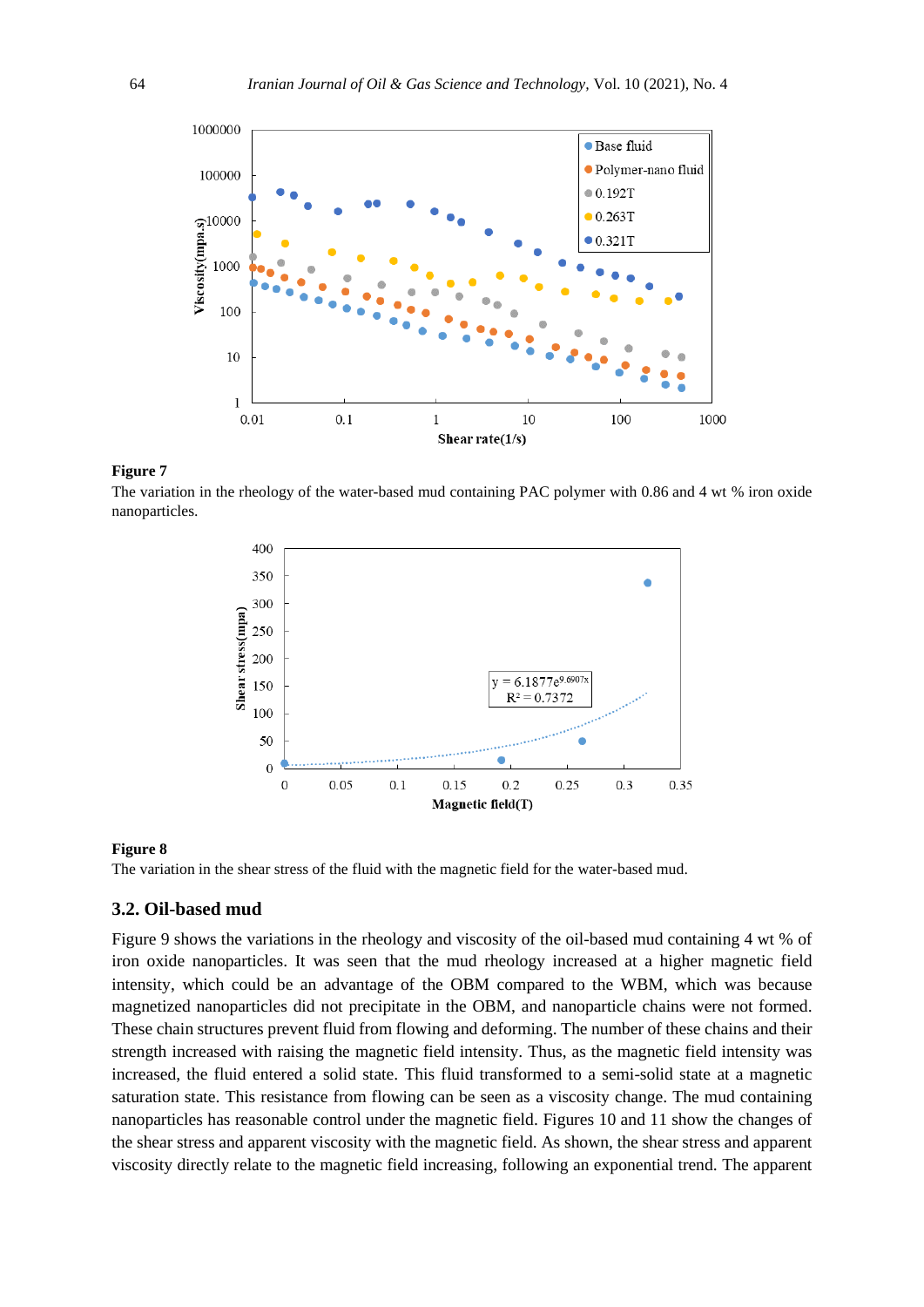

The variation in the rheology of the water-based mud containing PAC polymer with 0.86 and 4 wt % iron oxide nanoparticles.



#### **Figure 8**

The variation in the shear stress of the fluid with the magnetic field for the water-based mud.

## **3.2. Oil-based mud**

Figure 9 shows the variations in the rheology and viscosity of the oil-based mud containing 4 wt % of iron oxide nanoparticles. It was seen that the mud rheology increased at a higher magnetic field intensity, which could be an advantage of the OBM compared to the WBM, which was because magnetized nanoparticles did not precipitate in the OBM, and nanoparticle chains were not formed. These chain structures prevent fluid from flowing and deforming. The number of these chains and their strength increased with raising the magnetic field intensity. Thus, as the magnetic field intensity was increased, the fluid entered a solid state. This fluid transformed to a semi-solid state at a magnetic saturation state. This resistance from flowing can be seen as a viscosity change. The mud containing nanoparticles has reasonable control under the magnetic field. Figures 10 and 11 show the changes of the shear stress and apparent viscosity with the magnetic field. As shown, the shear stress and apparent viscosity directly relate to the magnetic field increasing, following an exponential trend. The apparent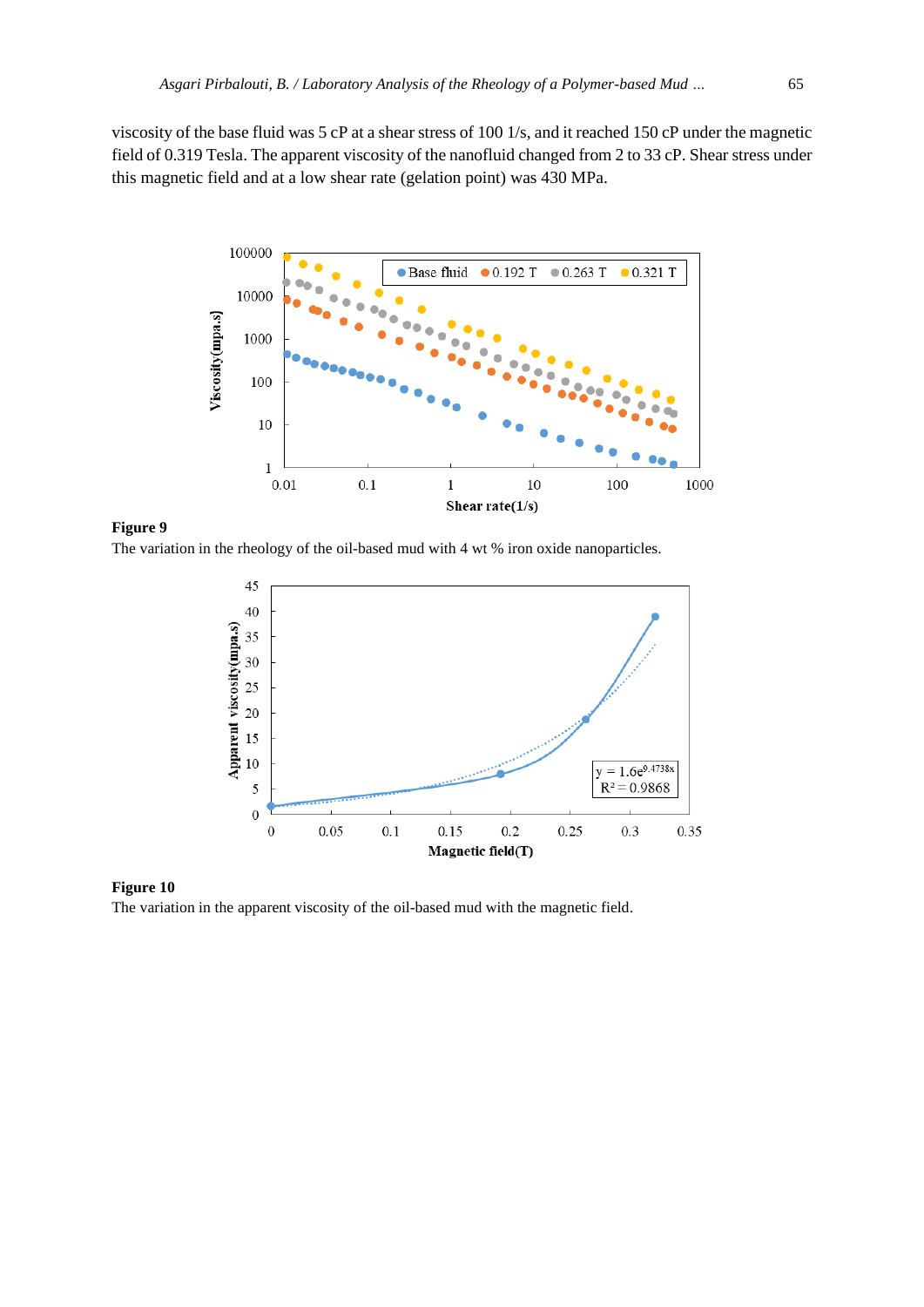viscosity of the base fluid was 5 cP at a shear stress of 100 1/s, and it reached 150 cP under the magnetic field of 0.319 Tesla. The apparent viscosity of the nanofluid changed from 2 to 33 cP. Shear stress under this magnetic field and at a low shear rate (gelation point) was 430 MPa.



**Figure 9**

The variation in the rheology of the oil-based mud with 4 wt % iron oxide nanoparticles.



#### **Figure 10**

The variation in the apparent viscosity of the oil-based mud with the magnetic field.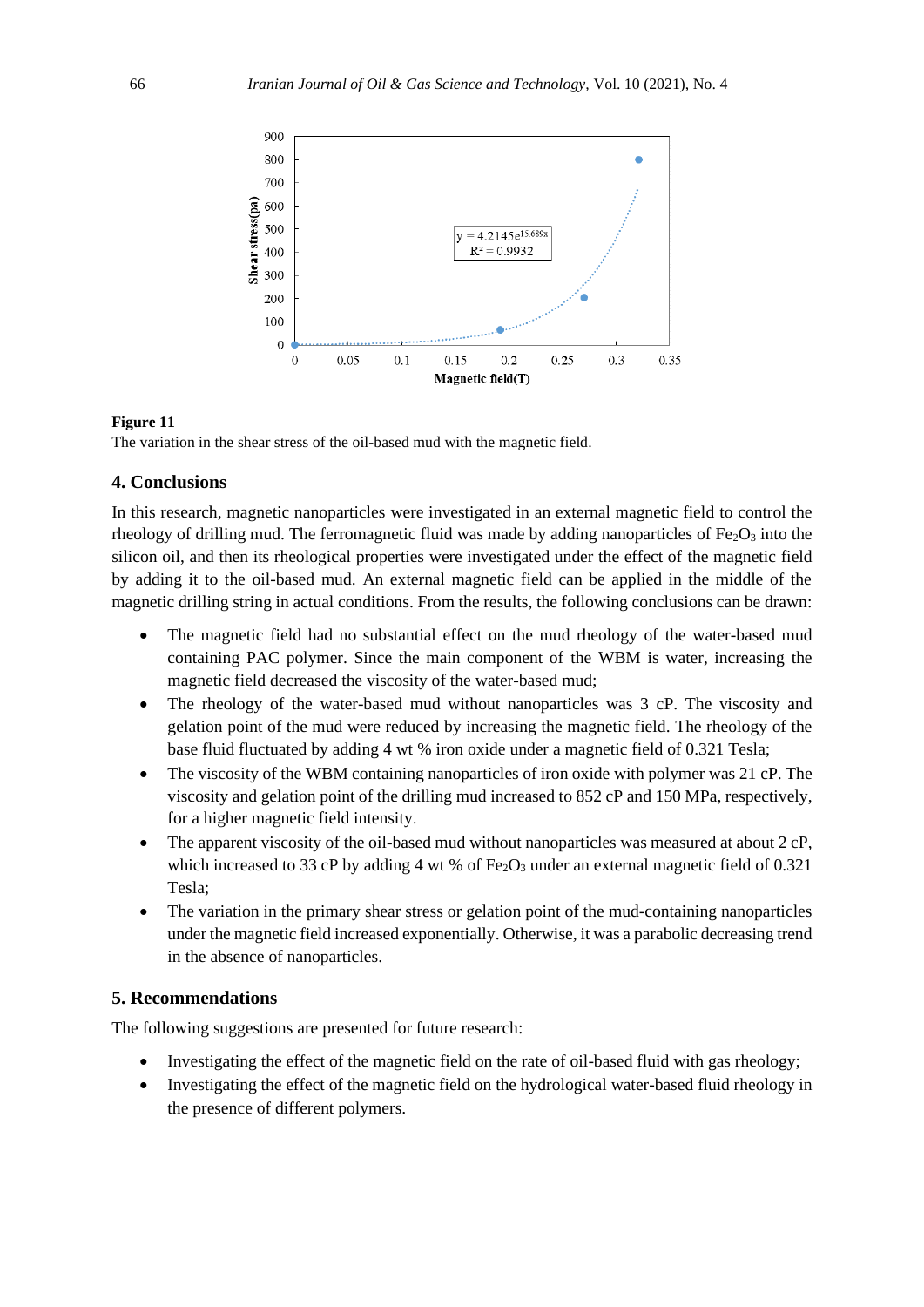

The variation in the shear stress of the oil-based mud with the magnetic field.

#### **4. Conclusions**

In this research, magnetic nanoparticles were investigated in an external magnetic field to control the rheology of drilling mud. The ferromagnetic fluid was made by adding nanoparticles of  $Fe<sub>2</sub>O<sub>3</sub>$  into the silicon oil, and then its rheological properties were investigated under the effect of the magnetic field by adding it to the oil-based mud. An external magnetic field can be applied in the middle of the magnetic drilling string in actual conditions. From the results, the following conclusions can be drawn:

- The magnetic field had no substantial effect on the mud rheology of the water-based mud containing PAC polymer. Since the main component of the WBM is water, increasing the magnetic field decreased the viscosity of the water-based mud;
- The rheology of the water-based mud without nanoparticles was 3 cP. The viscosity and gelation point of the mud were reduced by increasing the magnetic field. The rheology of the base fluid fluctuated by adding 4 wt % iron oxide under a magnetic field of 0.321 Tesla;
- The viscosity of the WBM containing nanoparticles of iron oxide with polymer was 21 cP. The viscosity and gelation point of the drilling mud increased to 852 cP and 150 MPa, respectively, for a higher magnetic field intensity .
- The apparent viscosity of the oil-based mud without nanoparticles was measured at about 2 cP, which increased to 33 cP by adding 4 wt % of  $Fe<sub>2</sub>O<sub>3</sub>$  under an external magnetic field of 0.321 Tesla;
- The variation in the primary shear stress or gelation point of the mud-containing nanoparticles under the magnetic field increased exponentially. Otherwise, it was a parabolic decreasing trend in the absence of nanoparticles.

#### **5. Recommendations**

The following suggestions are presented for future research:

- Investigating the effect of the magnetic field on the rate of oil-based fluid with gas rheology;
- Investigating the effect of the magnetic field on the hydrological water-based fluid rheology in the presence of different polymers.